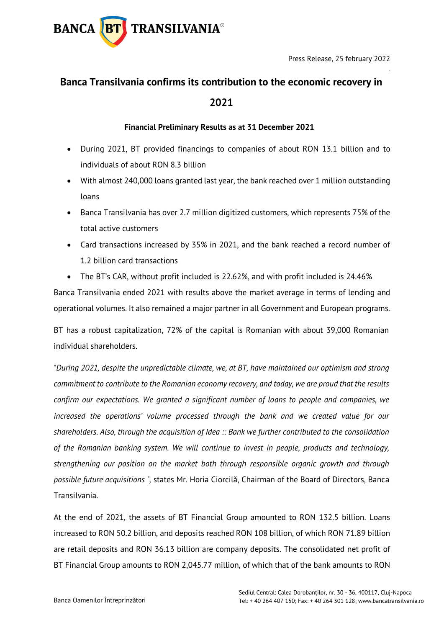

# **Banca Transilvania confirms its contribution to the economic recovery in 2021**

### **Financial Preliminary Results as at 31 December 2021**

- During 2021, BT provided financings to companies of about RON 13.1 billion and to individuals of about RON 8.3 billion
- With almost 240,000 loans granted last year, the bank reached over 1 million outstanding loans
- Banca Transilvania has over 2.7 million digitized customers, which represents 75% of the total active customers
- Card transactions increased by 35% in 2021, and the bank reached a record number of 1.2 billion card transactions
- The BT's CAR, without profit included is 22.62%, and with profit included is 24.46%

Banca Transilvania ended 2021 with results above the market average in terms of lending and operational volumes. It also remained a major partner in all Government and European programs.

BT has a robust capitalization, 72% of the capital is Romanian with about 39,000 Romanian individual shareholders.

*"During 2021, despite the unpredictable climate, we, at BT, have maintained our optimism and strong commitment to contribute to the Romanian economy recovery, and today, we are proud that the results confirm our expectations. We granted a significant number of loans to people and companies, we increased the operations' volume processed through the bank and we created value for our shareholders. Also, through the acquisition of Idea :: Bank we further contributed to the consolidation of the Romanian banking system. We will continue to invest in people, products and technology, strengthening our position on the market both through responsible organic growth and through possible future acquisitions ",* states Mr. Horia Ciorcilă, Chairman of the Board of Directors, Banca Transilvania.

At the end of 2021, the assets of BT Financial Group amounted to RON 132.5 billion. Loans increased to RON 50.2 billion, and deposits reached RON 108 billion, of which RON 71.89 billion are retail deposits and RON 36.13 billion are company deposits. The consolidated net profit of BT Financial Group amounts to RON 2,045.77 million, of which that of the bank amounts to RON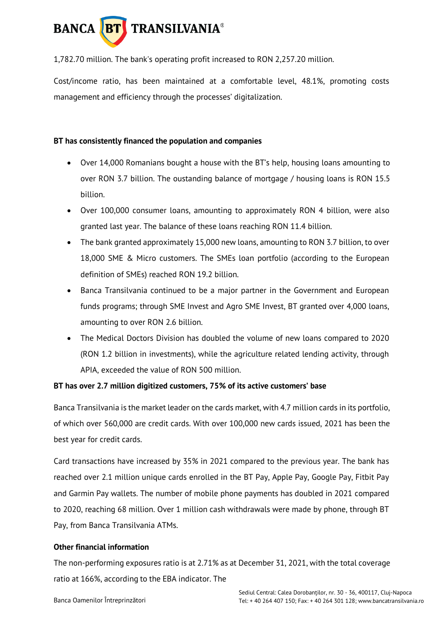

1,782.70 million. The bank's operating profit increased to RON 2,257.20 million.

Cost/income ratio, has been maintained at a comfortable level, 48.1%, promoting costs management and efficiency through the processes' digitalization.

## **BT has consistently financed the population and companies**

- Over 14,000 Romanians bought a house with the BT's help, housing loans amounting to over RON 3.7 billion. The oustanding balance of mortgage / housing loans is RON 15.5 billion.
- Over 100,000 consumer loans, amounting to approximately RON 4 billion, were also granted last year. The balance of these loans reaching RON 11.4 billion.
- The bank granted approximately 15,000 new loans, amounting to RON 3.7 billion, to over 18,000 SME & Micro customers. The SMEs loan portfolio (according to the European definition of SMEs) reached RON 19.2 billion.
- Banca Transilvania continued to be a major partner in the Government and European funds programs; through SME Invest and Agro SME Invest, BT granted over 4,000 loans, amounting to over RON 2.6 billion.
- The Medical Doctors Division has doubled the volume of new loans compared to 2020 (RON 1.2 billion in investments), while the agriculture related lending activity, through APIA, exceeded the value of RON 500 million.

# **BT has over 2.7 million digitized customers, 75% of its active customers' base**

Banca Transilvania is the market leader on the cards market, with 4.7 million cards in its portfolio, of which over 560,000 are credit cards. With over 100,000 new cards issued, 2021 has been the best year for credit cards.

Card transactions have increased by 35% in 2021 compared to the previous year. The bank has reached over 2.1 million unique cards enrolled in the BT Pay, Apple Pay, Google Pay, Fitbit Pay and Garmin Pay wallets. The number of mobile phone payments has doubled in 2021 compared to 2020, reaching 68 million. Over 1 million cash withdrawals were made by phone, through BT Pay, from Banca Transilvania ATMs.

#### **Other financial information**

The non-performing exposures ratio is at 2.71% as at December 31, 2021, with the total coverage ratio at 166%, according to the EBA indicator. The